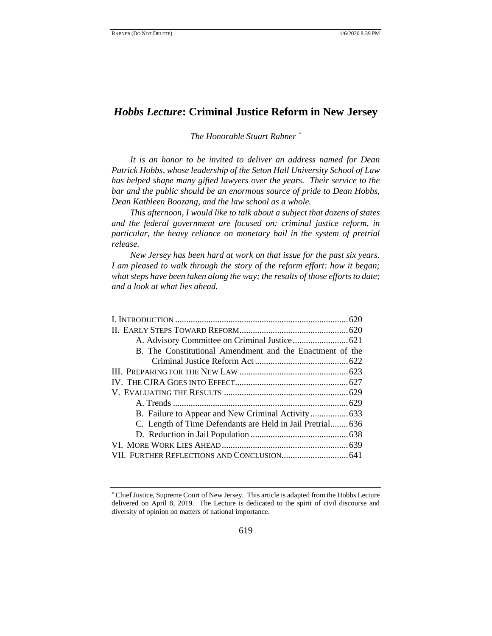# *Hobbs Lecture***: Criminal Justice Reform in New Jersey**

*The Honorable Stuart Rabner \**

*It is an honor to be invited to deliver an address named for Dean Patrick Hobbs, whose leadership of the Seton Hall University School of Law has helped shape many gifted lawyers over the years. Their service to the bar and the public should be an enormous source of pride to Dean Hobbs, Dean Kathleen Boozang, and the law school as a whole.*

*This afternoon, I would like to talk about a subject that dozens of states and the federal government are focused on: criminal justice reform, in particular, the heavy reliance on monetary bail in the system of pretrial release.*

*New Jersey has been hard at work on that issue for the past six years. I am pleased to walk through the story of the reform effort: how it began; what steps have been taken along the way; the results of those efforts to date; and a look at what lies ahead.*

| B. The Constitutional Amendment and the Enactment of the   |  |
|------------------------------------------------------------|--|
|                                                            |  |
|                                                            |  |
|                                                            |  |
|                                                            |  |
|                                                            |  |
|                                                            |  |
| C. Length of Time Defendants are Held in Jail Pretrial 636 |  |
|                                                            |  |
|                                                            |  |
|                                                            |  |

<sup>\*</sup> Chief Justice, Supreme Court of New Jersey. This article is adapted from the Hobbs Lecture delivered on April 8, 2019. The Lecture is dedicated to the spirit of civil discourse and diversity of opinion on matters of national importance.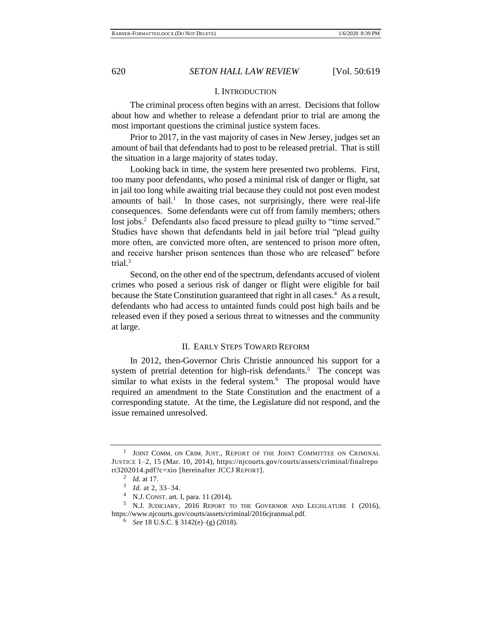## I. INTRODUCTION

The criminal process often begins with an arrest. Decisions that follow about how and whether to release a defendant prior to trial are among the most important questions the criminal justice system faces.

Prior to 2017, in the vast majority of cases in New Jersey, judges set an amount of bail that defendants had to post to be released pretrial. That is still the situation in a large majority of states today.

<span id="page-1-0"></span>Looking back in time, the system here presented two problems. First, too many poor defendants, who posed a minimal risk of danger or flight, sat in jail too long while awaiting trial because they could not post even modest amounts of bail.<sup>1</sup> In those cases, not surprisingly, there were real-life consequences. Some defendants were cut off from family members; others lost jobs.<sup>2</sup> Defendants also faced pressure to plead guilty to "time served." Studies have shown that defendants held in jail before trial "plead guilty more often, are convicted more often, are sentenced to prison more often, and receive harsher prison sentences than those who are released" before trial.<sup>3</sup>

Second, on the other end of the spectrum, defendants accused of violent crimes who posed a serious risk of danger or flight were eligible for bail because the State Constitution guaranteed that right in all cases.<sup>4</sup> As a result, defendants who had access to untainted funds could post high bails and be released even if they posed a serious threat to witnesses and the community at large.

## II. EARLY STEPS TOWARD REFORM

In 2012, then-Governor Chris Christie announced his support for a system of pretrial detention for high-risk defendants.<sup>5</sup> The concept was similar to what exists in the federal system. $6$  The proposal would have required an amendment to the State Constitution and the enactment of a corresponding statute. At the time, the Legislature did not respond, and the issue remained unresolved.

<sup>&</sup>lt;sup>1</sup> JOINT COMM. ON CRIM. JUST., REPORT OF THE JOINT COMMITTEE ON CRIMINAL JUSTICE 1–2, 15 (Mar. 10, 2014), https://njcourts.gov/courts/assets/criminal/finalrepo rt3202014.pdf?c=xio [hereinafter JCCJ REPORT].

<sup>2</sup> *Id.* at 17.

<sup>3</sup> *Id.* at 2, 33–34.

<sup>4</sup> N.J. CONST. art. I, para. 11 (2014).

<sup>5</sup> N.J. JUDICIARY, 2016 REPORT TO THE GOVERNOR AND LEGISLATURE 1 (2016), https://www.njcourts.gov/courts/assets/criminal/2016cjrannual.pdf.

<sup>6</sup> *See* 18 U.S.C. § 3142(e)–(g) (2018).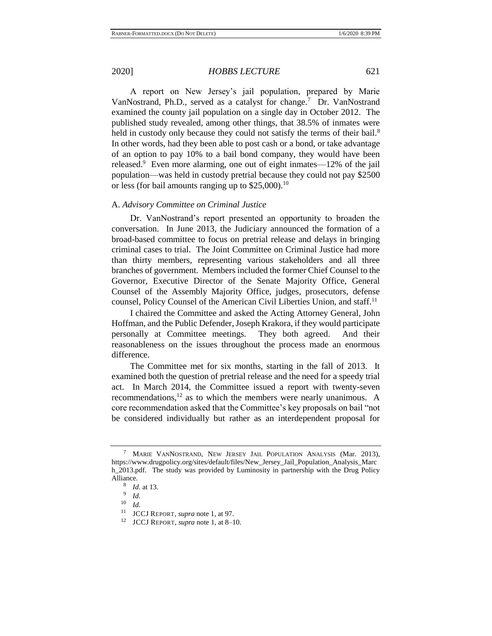A report on New Jersey's jail population, prepared by Marie VanNostrand, Ph.D., served as a catalyst for change.<sup>7</sup> Dr. VanNostrand examined the county jail population on a single day in October 2012. The published study revealed, among other things, that 38.5% of inmates were held in custody only because they could not satisfy the terms of their bail.<sup>8</sup> In other words, had they been able to post cash or a bond, or take advantage of an option to pay 10% to a bail bond company, they would have been released.<sup>9</sup> Even more alarming, one out of eight inmates—12% of the jail population—was held in custody pretrial because they could not pay \$2500 or less (for bail amounts ranging up to  $$25,000$ ).<sup>10</sup>

## A. *Advisory Committee on Criminal Justice*

Dr. VanNostrand's report presented an opportunity to broaden the conversation. In June 2013, the Judiciary announced the formation of a broad-based committee to focus on pretrial release and delays in bringing criminal cases to trial. The Joint Committee on Criminal Justice had more than thirty members, representing various stakeholders and all three branches of government. Members included the former Chief Counsel to the Governor, Executive Director of the Senate Majority Office, General Counsel of the Assembly Majority Office, judges, prosecutors, defense counsel, Policy Counsel of the American Civil Liberties Union, and staff.<sup>11</sup>

I chaired the Committee and asked the Acting Attorney General, John Hoffman, and the Public Defender, Joseph Krakora, if they would participate personally at Committee meetings. They both agreed. And their reasonableness on the issues throughout the process made an enormous difference.

The Committee met for six months, starting in the fall of 2013. It examined both the question of pretrial release and the need for a speedy trial act. In March 2014, the Committee issued a report with twenty-seven recommendations, $12$  as to which the members were nearly unanimous. A core recommendation asked that the Committee's key proposals on bail "not be considered individually but rather as an interdependent proposal for

MARIE VANNOSTRAND, NEW JERSEY JAIL POPULATION ANALYSIS (Mar. 2013), https://www.drugpolicy.org/sites/default/files/New Jersey Jail Population Analysis Marc h\_2013.pdf. The study was provided by Luminosity in partnership with the Drug Policy Alliance.

<sup>8</sup> *Id.* at 13. 9

*Id.*

 $\frac{10}{11}$  *Id.* 

<sup>&</sup>lt;sup>11</sup> JCCJ REPORT, *supra* not[e 1,](#page-1-0) at 97.<br><sup>12</sup> JCCJ REPORT, *supra* note 1, at 8–1

<sup>12</sup> JCCJ REPORT, *supra* not[e 1,](#page-1-0) at 8–10.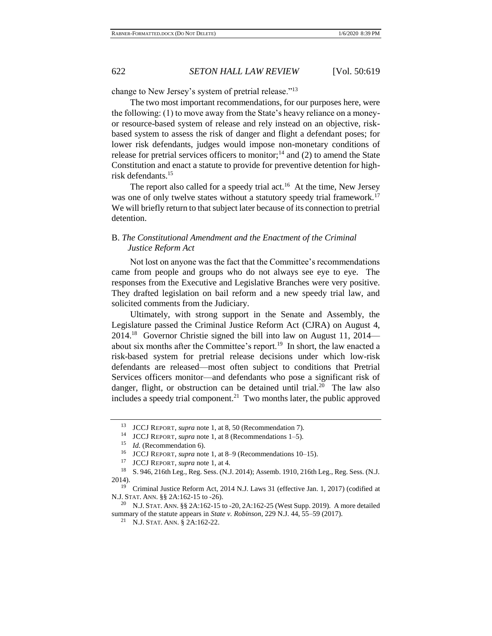change to New Jersey's system of pretrial release."<sup>13</sup>

The two most important recommendations, for our purposes here, were the following: (1) to move away from the State's heavy reliance on a moneyor resource-based system of release and rely instead on an objective, riskbased system to assess the risk of danger and flight a defendant poses; for lower risk defendants, judges would impose non-monetary conditions of release for pretrial services officers to monitor;<sup>14</sup> and (2) to amend the State Constitution and enact a statute to provide for preventive detention for highrisk defendants. 15

The report also called for a speedy trial act.<sup>16</sup> At the time, New Jersey was one of only twelve states without a statutory speedy trial framework.<sup>17</sup> We will briefly return to that subject later because of its connection to pretrial detention.

# B. *The Constitutional Amendment and the Enactment of the Criminal Justice Reform Act*

Not lost on anyone was the fact that the Committee's recommendations came from people and groups who do not always see eye to eye. The responses from the Executive and Legislative Branches were very positive. They drafted legislation on bail reform and a new speedy trial law, and solicited comments from the Judiciary.

Ultimately, with strong support in the Senate and Assembly, the Legislature passed the Criminal Justice Reform Act (CJRA) on August 4, 2014.<sup>18</sup> Governor Christie signed the bill into law on August 11, 2014 about six months after the Committee's report.<sup>19</sup> In short, the law enacted a risk-based system for pretrial release decisions under which low-risk defendants are released—most often subject to conditions that Pretrial Services officers monitor—and defendants who pose a significant risk of danger, flight, or obstruction can be detained until trial.<sup>20</sup> The law also includes a speedy trial component.<sup>21</sup> Two months later, the public approved

<sup>&</sup>lt;sup>13</sup> JCCJ REPORT, *supra* not[e 1,](#page-1-0) at 8, 50 (Recommendation 7).<br><sup>14</sup> JCCJ REPORT, *supra* note 1, at 8 (Recommendations 1, 5).

<sup>14</sup> JCCJ REPORT, *supra* not[e 1,](#page-1-0) at 8 (Recommendations 1–5).

<sup>&</sup>lt;sup>15</sup> *Id.* (Recommendation 6).

<sup>&</sup>lt;sup>16</sup> JCCJ REPORT, *supra* not[e 1,](#page-1-0) at 8–9 (Recommendations 10–15).

<sup>&</sup>lt;sup>17</sup> JCCJ REPORT, *supra* not[e 1,](#page-1-0) at 4.<br><sup>18</sup> S 946 216th Leg Reg Sess (N I

<sup>18</sup> S. 946, 216th Leg., Reg. Sess. (N.J. 2014); Assemb. 1910, 216th Leg., Reg. Sess. (N.J. 2014).

<sup>&</sup>lt;sup>19</sup> Criminal Justice Reform Act, 2014 N.J. Laws 31 (effective Jan. 1, 2017) (codified at N.J. STAT. ANN. §§ 2A:162-15 to -26).

<sup>&</sup>lt;sup>20</sup> N.J. STAT. ANN. §§ 2A:162-15 to -20, 2A:162-25 (West Supp. 2019). A more detailed summary of the statute appears in *State v. Robinson*, 229 N.J. 44, 55–59 (2017).

<sup>21</sup> N.J. STAT. ANN. § 2A:162-22.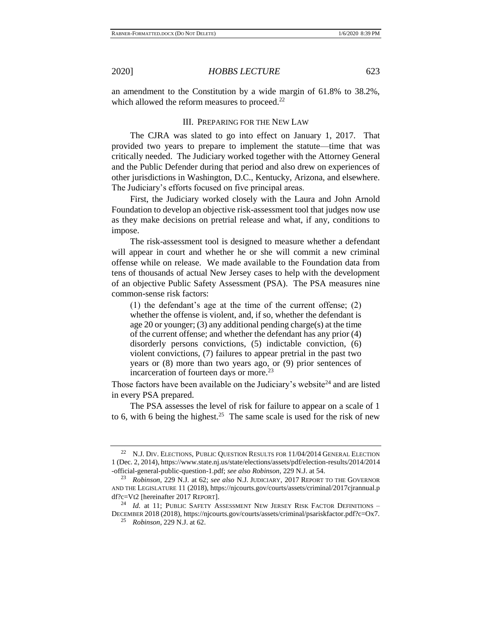an amendment to the Constitution by a wide margin of 61.8% to 38.2%, which allowed the reform measures to proceed.<sup>22</sup>

## III. PREPARING FOR THE NEW LAW

The CJRA was slated to go into effect on January 1, 2017. That provided two years to prepare to implement the statute—time that was critically needed. The Judiciary worked together with the Attorney General and the Public Defender during that period and also drew on experiences of other jurisdictions in Washington, D.C., Kentucky, Arizona, and elsewhere. The Judiciary's efforts focused on five principal areas.

First, the Judiciary worked closely with the Laura and John Arnold Foundation to develop an objective risk-assessment tool that judges now use as they make decisions on pretrial release and what, if any, conditions to impose.

The risk-assessment tool is designed to measure whether a defendant will appear in court and whether he or she will commit a new criminal offense while on release. We made available to the Foundation data from tens of thousands of actual New Jersey cases to help with the development of an objective Public Safety Assessment (PSA). The PSA measures nine common-sense risk factors:

<span id="page-4-0"></span>(1) the defendant's age at the time of the current offense; (2) whether the offense is violent, and, if so, whether the defendant is age 20 or younger; (3) any additional pending charge(s) at the time of the current offense; and whether the defendant has any prior (4) disorderly persons convictions, (5) indictable conviction, (6) violent convictions, (7) failures to appear pretrial in the past two years or (8) more than two years ago, or (9) prior sentences of incarceration of fourteen days or more.<sup>23</sup>

Those factors have been available on the Judiciary's website $24$  and are listed in every PSA prepared.

The PSA assesses the level of risk for failure to appear on a scale of 1 to 6, with 6 being the highest.<sup>25</sup> The same scale is used for the risk of new

N.J. DIV. ELECTIONS, PUBLIC QUESTION RESULTS FOR 11/04/2014 GENERAL ELECTION 1 (Dec. 2, 2014), https://www.state.nj.us/state/elections/assets/pdf/election-results/2014/2014 -official-general-public-question-1.pdf; *see also Robinson*, 229 N.J. at 54.

<sup>23</sup> *Robinson,* 229 N.J. at 62; *see also* N.J. JUDICIARY, 2017 REPORT TO THE GOVERNOR AND THE LEGISLATURE 11 (2018), https://njcourts.gov/courts/assets/criminal/2017cjrannual.p df?c=Vt2 [hereinafter 2017 REPORT].

<sup>&</sup>lt;sup>24</sup> *Id.* at 11; PUBLIC SAFETY ASSESSMENT NEW JERSEY RISK FACTOR DEFINITIONS -DECEMBER 2018 (2018), https://njcourts.gov/courts/assets/criminal/psariskfactor.pdf?c=Ox7.

<sup>25</sup> *Robinson*, 229 N.J. at 62.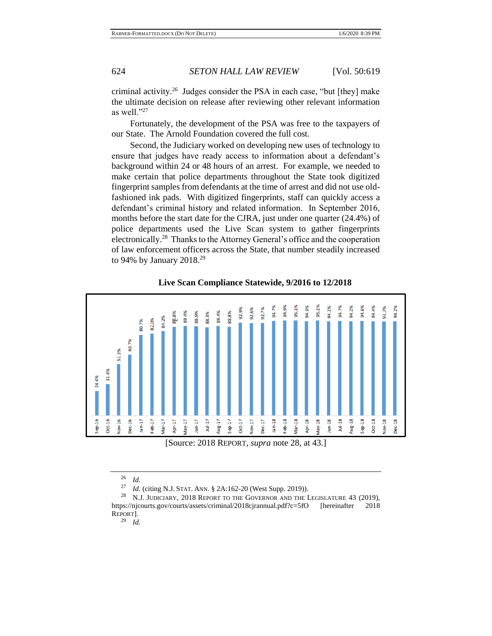criminal activity.<sup>26</sup> Judges consider the PSA in each case, "but [they] make the ultimate decision on release after reviewing other relevant information as well." $^{27}$ 

Fortunately, the development of the PSA was free to the taxpayers of our State. The Arnold Foundation covered the full cost.

Second, the Judiciary worked on developing new uses of technology to ensure that judges have ready access to information about a defendant's background within 24 or 48 hours of an arrest. For example, we needed to make certain that police departments throughout the State took digitized fingerprint samples from defendants at the time of arrest and did not use oldfashioned ink pads. With digitized fingerprints, staff can quickly access a defendant's criminal history and related information. In September 2016, months before the start date for the CJRA, just under one quarter (24.4%) of police departments used the Live Scan system to gather fingerprints electronically.<sup>28</sup> Thanks to the Attorney General's office and the cooperation of law enforcement officers across the State, that number steadily increased to 94% by January 2018.<sup>29</sup>



## <span id="page-5-0"></span>**Live Scan Compliance Statewide, 9/2016 to 12/2018**

 $rac{26}{27}$  *Id.* 

*Id.* (citing N.J. STAT. ANN. § 2A:162-20 (West Supp. 2019)).

<sup>&</sup>lt;sup>28</sup> N.J. JUDICIARY, 2018 REPORT TO THE GOVERNOR AND THE LEGISLATURE 43 (2019), https://njcourts.gov/courts/assets/criminal/2018cjrannual.pdf?c=5fO [hereinafter 2018 REPORT].

<sup>29</sup> *Id.*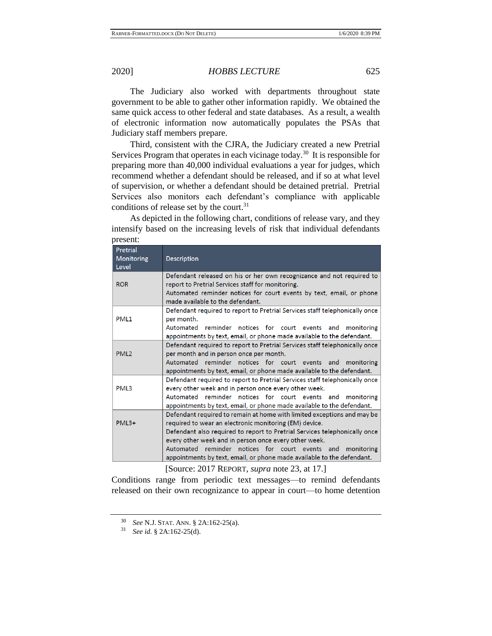The Judiciary also worked with departments throughout state government to be able to gather other information rapidly. We obtained the same quick access to other federal and state databases. As a result, a wealth of electronic information now automatically populates the PSAs that Judiciary staff members prepare.

Third, consistent with the CJRA, the Judiciary created a new Pretrial Services Program that operates in each vicinage today.<sup>30</sup> It is responsible for preparing more than 40,000 individual evaluations a year for judges, which recommend whether a defendant should be released, and if so at what level of supervision, or whether a defendant should be detained pretrial. Pretrial Services also monitors each defendant's compliance with applicable conditions of release set by the court.<sup>31</sup>

As depicted in the following chart, conditions of release vary, and they intensify based on the increasing levels of risk that individual defendants present:

| Pretrial<br>Monitoring<br>Level | <b>Description</b>                                                          |
|---------------------------------|-----------------------------------------------------------------------------|
|                                 | Defendant released on his or her own recognizance and not required to       |
| <b>ROR</b>                      | report to Pretrial Services staff for monitoring.                           |
|                                 | Automated reminder notices for court events by text, email, or phone        |
|                                 | made available to the defendant.                                            |
|                                 | Defendant required to report to Pretrial Services staff telephonically once |
| PML <sub>1</sub>                | per month.                                                                  |
|                                 | Automated reminder notices for court events and monitoring                  |
|                                 | appointments by text, email, or phone made available to the defendant.      |
|                                 | Defendant required to report to Pretrial Services staff telephonically once |
| PML <sub>2</sub>                | per month and in person once per month.                                     |
|                                 | Automated reminder notices for court events and monitoring                  |
|                                 | appointments by text, email, or phone made available to the defendant.      |
|                                 | Defendant required to report to Pretrial Services staff telephonically once |
| PML3                            | every other week and in person once every other week.                       |
|                                 | Automated reminder notices for court events and monitoring                  |
|                                 | appointments by text, email, or phone made available to the defendant.      |
|                                 | Defendant required to remain at home with limited exceptions and may be     |
| $PML3+$                         | required to wear an electronic monitoring (EM) device.                      |
|                                 | Defendant also required to report to Pretrial Services telephonically once  |
|                                 | every other week and in person once every other week.                       |
|                                 | Automated reminder notices for court events and monitoring                  |
|                                 | appointments by text, email, or phone made available to the defendant.      |

[Source: 2017 REPORT, *supra* note [23,](#page-4-0) at 17.]

Conditions range from periodic text messages—to remind defendants released on their own recognizance to appear in court—to home detention

<sup>30</sup> *See* N.J. STAT. ANN. § 2A:162-25(a).

<sup>31</sup> *See id.* § 2A:162-25(d).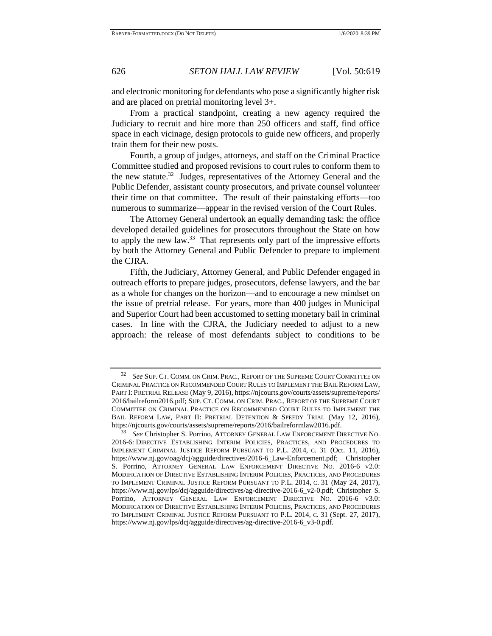and electronic monitoring for defendants who pose a significantly higher risk and are placed on pretrial monitoring level 3+.

From a practical standpoint, creating a new agency required the Judiciary to recruit and hire more than 250 officers and staff, find office space in each vicinage, design protocols to guide new officers, and properly train them for their new posts.

Fourth, a group of judges, attorneys, and staff on the Criminal Practice Committee studied and proposed revisions to court rules to conform them to the new statute. $32$  Judges, representatives of the Attorney General and the Public Defender, assistant county prosecutors, and private counsel volunteer their time on that committee. The result of their painstaking efforts—too numerous to summarize—appear in the revised version of the Court Rules.

The Attorney General undertook an equally demanding task: the office developed detailed guidelines for prosecutors throughout the State on how to apply the new law. $33$  That represents only part of the impressive efforts by both the Attorney General and Public Defender to prepare to implement the CJRA.

Fifth, the Judiciary, Attorney General, and Public Defender engaged in outreach efforts to prepare judges, prosecutors, defense lawyers, and the bar as a whole for changes on the horizon—and to encourage a new mindset on the issue of pretrial release. For years, more than 400 judges in Municipal and Superior Court had been accustomed to setting monetary bail in criminal cases. In line with the CJRA, the Judiciary needed to adjust to a new approach: the release of most defendants subject to conditions to be

<sup>32</sup> *See* SUP. CT. COMM. ON CRIM. PRAC., REPORT OF THE SUPREME COURT COMMITTEE ON CRIMINAL PRACTICE ON RECOMMENDED COURT RULES TO IMPLEMENT THE BAIL REFORM LAW, PART I: PRETRIAL RELEASE (May 9, 2016), https://njcourts.gov/courts/assets/supreme/reports/ 2016/bailreform2016.pdf; SUP. CT. COMM. ON CRIM. PRAC., REPORT OF THE SUPREME COURT COMMITTEE ON CRIMINAL PRACTICE ON RECOMMENDED COURT RULES TO IMPLEMENT THE BAIL REFORM LAW, PART II: PRETRIAL DETENTION & SPEEDY TRIAL (May 12, 2016), https://njcourts.gov/courts/assets/supreme/reports/2016/bailreformlaw2016.pdf.

<sup>33</sup> *See* Christopher S. Porrino, ATTORNEY GENERAL LAW ENFORCEMENT DIRECTIVE NO. 2016-6: DIRECTIVE ESTABLISHING INTERIM POLICIES, PRACTICES, AND PROCEDURES TO IMPLEMENT CRIMINAL JUSTICE REFORM PURSUANT TO P.L. 2014, C. 31 (Oct. 11, 2016), https://www.nj.gov/oag/dcj/agguide/directives/2016-6\_Law-Enforcement.pdf; Christopher S. Porrino, ATTORNEY GENERAL LAW ENFORCEMENT DIRECTIVE NO. 2016-6 V2.0: MODIFICATION OF DIRECTIVE ESTABLISHING INTERIM POLICIES, PRACTICES, AND PROCEDURES TO IMPLEMENT CRIMINAL JUSTICE REFORM PURSUANT TO P.L. 2014, C. 31 (May 24, 2017), https://www.nj.gov/lps/dcj/agguide/directives/ag-directive-2016-6\_v2-0.pdf; Christopher S. Porrino, ATTORNEY GENERAL LAW ENFORCEMENT DIRECTIVE NO. 2016-6 V3.0: MODIFICATION OF DIRECTIVE ESTABLISHING INTERIM POLICIES, PRACTICES, AND PROCEDURES TO IMPLEMENT CRIMINAL JUSTICE REFORM PURSUANT TO P.L. 2014, C. 31 (Sept. 27, 2017), https://www.nj.gov/lps/dcj/agguide/directives/ag-directive-2016-6\_v3-0.pdf.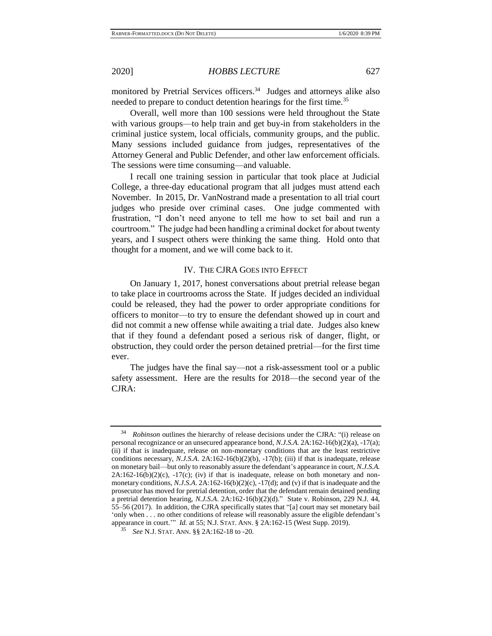monitored by Pretrial Services officers.<sup>34</sup> Judges and attorneys alike also needed to prepare to conduct detention hearings for the first time.<sup>35</sup>

Overall, well more than 100 sessions were held throughout the State with various groups—to help train and get buy-in from stakeholders in the criminal justice system, local officials, community groups, and the public. Many sessions included guidance from judges, representatives of the Attorney General and Public Defender, and other law enforcement officials. The sessions were time consuming—and valuable.

I recall one training session in particular that took place at Judicial College, a three-day educational program that all judges must attend each November. In 2015, Dr. VanNostrand made a presentation to all trial court judges who preside over criminal cases. One judge commented with frustration, "I don't need anyone to tell me how to set bail and run a courtroom." The judge had been handling a criminal docket for about twenty years, and I suspect others were thinking the same thing. Hold onto that thought for a moment, and we will come back to it.

## IV. THE CJRA GOES INTO EFFECT

On January 1, 2017, honest conversations about pretrial release began to take place in courtrooms across the State. If judges decided an individual could be released, they had the power to order appropriate conditions for officers to monitor—to try to ensure the defendant showed up in court and did not commit a new offense while awaiting a trial date. Judges also knew that if they found a defendant posed a serious risk of danger, flight, or obstruction, they could order the person detained pretrial—for the first time ever.

The judges have the final say—not a risk-assessment tool or a public safety assessment. Here are the results for 2018—the second year of the CJRA:

<sup>34</sup> *Robinson* outlines the hierarchy of release decisions under the CJRA: "(i) release on personal recognizance or an unsecured appearance bond, *N.J.S.A.* 2A:162-16(b)(2)(a), -17(a); (ii) if that is inadequate, release on non-monetary conditions that are the least restrictive conditions necessary, *N.J.S.A*. 2A:162-16(b)(2)(b), -17(b); (iii) if that is inadequate, release on monetary bail—but only to reasonably assure the defendant's appearance in court, *N.J.S.A.*  $2A:162-16(b)(2)(c)$ ,  $-17(c)$ ; (iv) if that is inadequate, release on both monetary and nonmonetary conditions, *N.J.S.A*. 2A:162-16(b)(2)(c), -17(d); and (v) if that is inadequate and the prosecutor has moved for pretrial detention, order that the defendant remain detained pending a pretrial detention hearing, *N.J.S.A*. 2A:162-16(b)(2)(d)." State v. Robinson, 229 N.J. 44, 55–56 (2017). In addition, the CJRA specifically states that "[a] court may set monetary bail 'only when . . . no other conditions of release will reasonably assure the eligible defendant's appearance in court.'" *Id.* at 55; N.J. STAT. ANN. § 2A:162-15 (West Supp. 2019).

<sup>35</sup> *See* N.J. STAT. ANN. §§ 2A:162-18 to -20.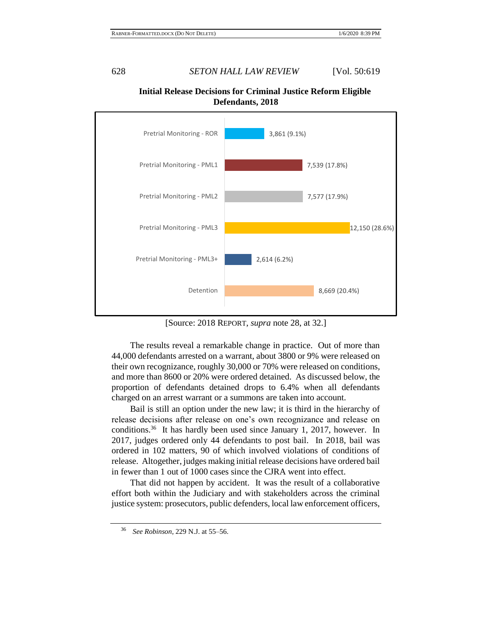

**Initial Release Decisions for Criminal Justice Reform Eligible Defendants, 2018**

[Source: 2018 REPORT, *supra* note [28,](#page-5-0) at 32.]

The results reveal a remarkable change in practice. Out of more than 44,000 defendants arrested on a warrant, about 3800 or 9% were released on their own recognizance, roughly 30,000 or 70% were released on conditions, and more than 8600 or 20% were ordered detained. As discussed below, the proportion of defendants detained drops to 6.4% when all defendants charged on an arrest warrant or a summons are taken into account.

Bail is still an option under the new law; it is third in the hierarchy of release decisions after release on one's own recognizance and release on conditions.<sup>36</sup> It has hardly been used since January 1, 2017, however. In 2017, judges ordered only 44 defendants to post bail. In 2018, bail was ordered in 102 matters, 90 of which involved violations of conditions of release. Altogether, judges making initial release decisions have ordered bail in fewer than 1 out of 1000 cases since the CJRA went into effect.

That did not happen by accident. It was the result of a collaborative effort both within the Judiciary and with stakeholders across the criminal justice system: prosecutors, public defenders, local law enforcement officers,

<sup>36</sup> *See Robinson*, 229 N.J. at 55–56.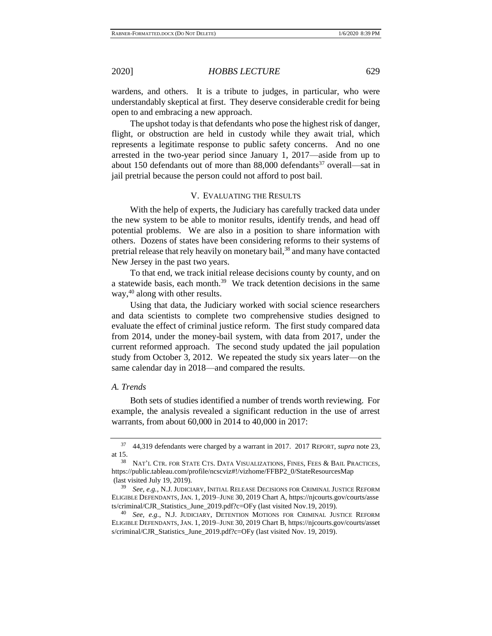wardens, and others. It is a tribute to judges, in particular, who were understandably skeptical at first. They deserve considerable credit for being open to and embracing a new approach.

The upshot today is that defendants who pose the highest risk of danger, flight, or obstruction are held in custody while they await trial, which represents a legitimate response to public safety concerns. And no one arrested in the two-year period since January 1, 2017—aside from up to about 150 defendants out of more than  $88,000$  defendants<sup>37</sup> overall—sat in jail pretrial because the person could not afford to post bail.

## V. EVALUATING THE RESULTS

With the help of experts, the Judiciary has carefully tracked data under the new system to be able to monitor results, identify trends, and head off potential problems. We are also in a position to share information with others. Dozens of states have been considering reforms to their systems of pretrial release that rely heavily on monetary bail,<sup>38</sup> and many have contacted New Jersey in the past two years.

To that end, we track initial release decisions county by county, and on a statewide basis, each month.<sup>39</sup> We track detention decisions in the same way,<sup>40</sup> along with other results.

Using that data, the Judiciary worked with social science researchers and data scientists to complete two comprehensive studies designed to evaluate the effect of criminal justice reform. The first study compared data from 2014, under the money-bail system, with data from 2017, under the current reformed approach. The second study updated the jail population study from October 3, 2012. We repeated the study six years later—on the same calendar day in 2018—and compared the results.

#### *A. Trends*

Both sets of studies identified a number of trends worth reviewing. For example, the analysis revealed a significant reduction in the use of arrest warrants, from about 60,000 in 2014 to 40,000 in 2017:

<sup>37</sup> 44,319 defendants were charged by a warrant in 2017. 2017 REPORT, *supra* note [23,](#page-4-0) at 15.

NAT'L CTR. FOR STATE CTS. DATA VISUALIZATIONS, FINES, FEES & BAIL PRACTICES, https://public.tableau.com/profile/ncscviz#!/vizhome/FFBP2\_0/StateResourcesMap (last visited July 19, 2019).

See, e.g., N.J. JUDICIARY, INITIAL RELEASE DECISIONS FOR CRIMINAL JUSTICE REFORM ELIGIBLE DEFENDANTS, JAN. 1, 2019–JUNE 30, 2019 Chart A, https://njcourts.gov/courts/asse ts/criminal/CJR\_Statistics\_June\_2019.pdf?c=OFy (last visited Nov.19, 2019).

See, e.g., N.J. JUDICIARY, DETENTION MOTIONS FOR CRIMINAL JUSTICE REFORM ELIGIBLE DEFENDANTS, JAN. 1, 2019–JUNE 30, 2019 Chart B, https://njcourts.gov/courts/asset s/criminal/CJR\_Statistics\_June\_2019.pdf?c=OFy (last visited Nov. 19, 2019).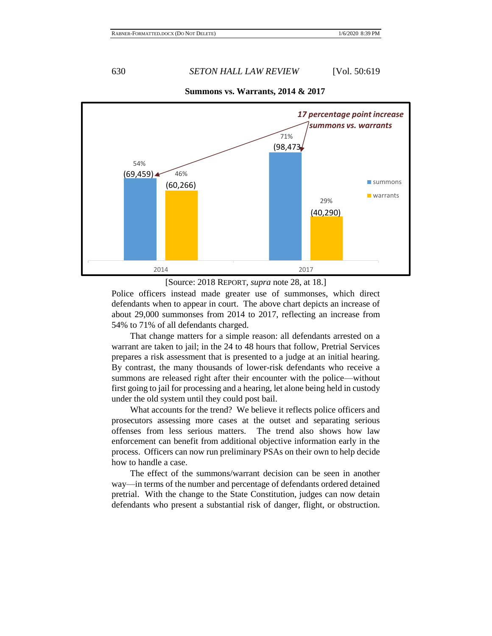

**Summons vs. Warrants, 2014 & 2017**

[Source: 2018 REPORT, *supra* note [28,](#page-5-0) at 18.]

Police officers instead made greater use of summonses, which direct defendants when to appear in court. The above chart depicts an increase of about 29,000 summonses from 2014 to 2017, reflecting an increase from 54% to 71% of all defendants charged.

That change matters for a simple reason: all defendants arrested on a warrant are taken to jail; in the 24 to 48 hours that follow, Pretrial Services prepares a risk assessment that is presented to a judge at an initial hearing. By contrast, the many thousands of lower-risk defendants who receive a summons are released right after their encounter with the police—without first going to jail for processing and a hearing, let alone being held in custody under the old system until they could post bail.

What accounts for the trend? We believe it reflects police officers and prosecutors assessing more cases at the outset and separating serious offenses from less serious matters. The trend also shows how law enforcement can benefit from additional objective information early in the process. Officers can now run preliminary PSAs on their own to help decide how to handle a case.

The effect of the summons/warrant decision can be seen in another way—in terms of the number and percentage of defendants ordered detained pretrial. With the change to the State Constitution, judges can now detain defendants who present a substantial risk of danger, flight, or obstruction.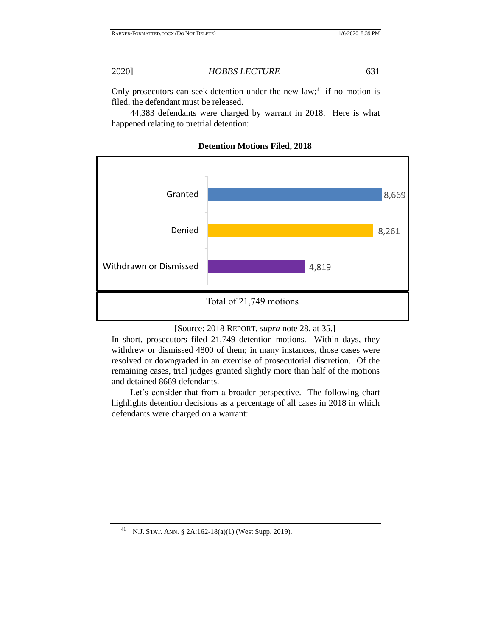Only prosecutors can seek detention under the new law;<sup>41</sup> if no motion is filed, the defendant must be released.

44,383 defendants were charged by warrant in 2018. Here is what happened relating to pretrial detention:



# **Detention Motions Filed, 2018**

[Source: 2018 REPORT, *supra* note [28,](#page-5-0) at 35.]

In short, prosecutors filed 21,749 detention motions. Within days, they withdrew or dismissed 4800 of them; in many instances, those cases were resolved or downgraded in an exercise of prosecutorial discretion. Of the remaining cases, trial judges granted slightly more than half of the motions and detained 8669 defendants.

Let's consider that from a broader perspective. The following chart highlights detention decisions as a percentage of all cases in 2018 in which defendants were charged on a warrant:

<sup>41</sup> N.J. STAT. ANN. § 2A:162-18(a)(1) (West Supp. 2019).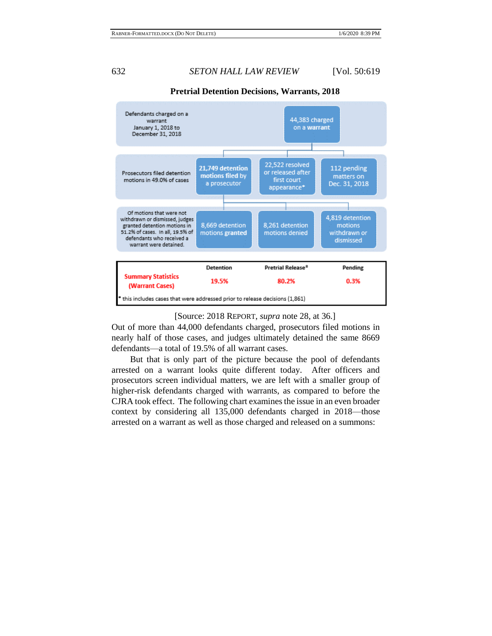

### **Pretrial Detention Decisions, Warrants, 2018**

### [Source: 2018 REPORT, *supra* note [28,](#page-5-0) at 36.]

Out of more than 44,000 defendants charged, prosecutors filed motions in nearly half of those cases, and judges ultimately detained the same 8669 defendants—a total of 19.5% of all warrant cases.

But that is only part of the picture because the pool of defendants arrested on a warrant looks quite different today. After officers and prosecutors screen individual matters, we are left with a smaller group of higher-risk defendants charged with warrants, as compared to before the CJRA took effect. The following chart examines the issue in an even broader context by considering all 135,000 defendants charged in 2018—those arrested on a warrant as well as those charged and released on a summons: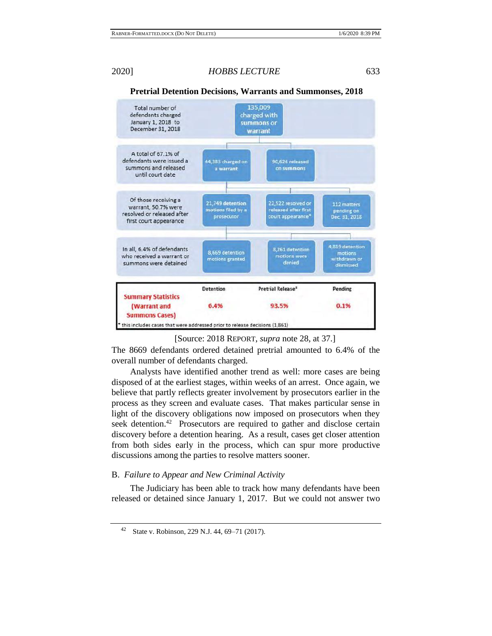

## **Pretrial Detention Decisions, Warrants and Summonses, 2018**

[Source: 2018 REPORT, *supra* note [28,](#page-5-0) at 37.]

The 8669 defendants ordered detained pretrial amounted to 6.4% of the overall number of defendants charged.

Analysts have identified another trend as well: more cases are being disposed of at the earliest stages, within weeks of an arrest. Once again, we believe that partly reflects greater involvement by prosecutors earlier in the process as they screen and evaluate cases. That makes particular sense in light of the discovery obligations now imposed on prosecutors when they seek detention.<sup>42</sup> Prosecutors are required to gather and disclose certain discovery before a detention hearing. As a result, cases get closer attention from both sides early in the process, which can spur more productive discussions among the parties to resolve matters sooner.

### B. *Failure to Appear and New Criminal Activity*

The Judiciary has been able to track how many defendants have been released or detained since January 1, 2017. But we could not answer two

<sup>42</sup> State v. Robinson, 229 N.J. 44, 69–71 (2017).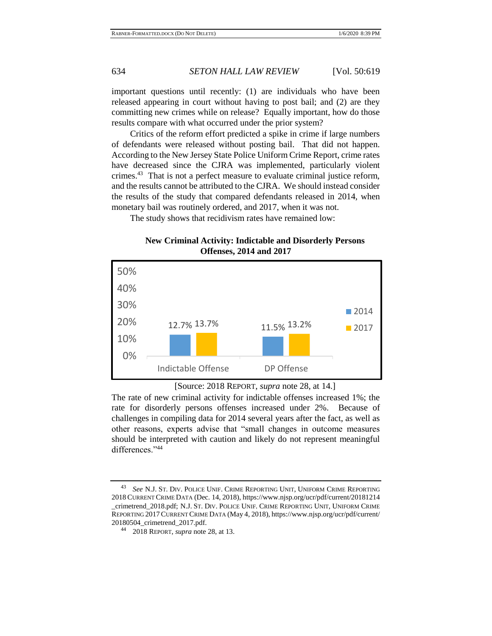important questions until recently: (1) are individuals who have been released appearing in court without having to post bail; and (2) are they committing new crimes while on release? Equally important, how do those results compare with what occurred under the prior system?

Critics of the reform effort predicted a spike in crime if large numbers of defendants were released without posting bail. That did not happen. According to the New Jersey State Police Uniform Crime Report, crime rates have decreased since the CJRA was implemented, particularly violent crimes.<sup>43</sup> That is not a perfect measure to evaluate criminal justice reform, and the results cannot be attributed to the CJRA. We should instead consider the results of the study that compared defendants released in 2014, when monetary bail was routinely ordered, and 2017, when it was not.

The study shows that recidivism rates have remained low:

**New Criminal Activity: Indictable and Disorderly Persons Offenses, 2014 and 2017**





The rate of new criminal activity for indictable offenses increased 1%; the rate for disorderly persons offenses increased under 2%. Because of challenges in compiling data for 2014 several years after the fact, as well as other reasons, experts advise that "small changes in outcome measures should be interpreted with caution and likely do not represent meaningful differences."44

See N.J. St. DIV. POLICE UNIF. CRIME REPORTING UNIT, UNIFORM CRIME REPORTING 2018 CURRENT CRIME DATA (Dec. 14, 2018), https://www.njsp.org/ucr/pdf/current/20181214 \_crimetrend\_2018.pdf; N.J. ST. DIV. POLICE UNIF. CRIME REPORTING UNIT, UNIFORM CRIME REPORTING 2017CURRENT CRIME DATA (May 4, 2018), https://www.njsp.org/ucr/pdf/current/ 20180504\_crimetrend\_2017.pdf.

<sup>44</sup> 2018 REPORT, *supra* not[e 28,](#page-5-0) at 13.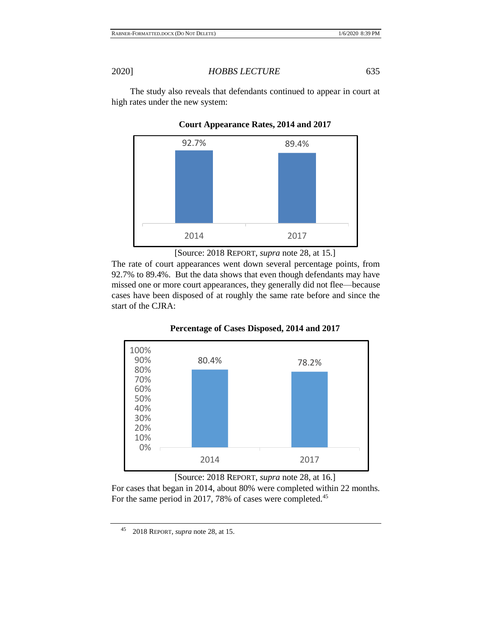The study also reveals that defendants continued to appear in court at high rates under the new system:



**Court Appearance Rates, 2014 and 2017**

[Source: 2018 REPORT, *supra* note [28,](#page-5-0) at 15.]

The rate of court appearances went down several percentage points, from 92.7% to 89.4%. But the data shows that even though defendants may have missed one or more court appearances, they generally did not flee—because cases have been disposed of at roughly the same rate before and since the start of the CJRA:



**Percentage of Cases Disposed, 2014 and 2017**

[Source: 2018 REPORT, *supra* note [28,](#page-5-0) at 16.] For cases that began in 2014, about 80% were completed within 22 months. For the same period in 2017, 78% of cases were completed.<sup>45</sup>

<sup>45</sup> 2018 REPORT, *supra* not[e 28,](#page-5-0) at 15.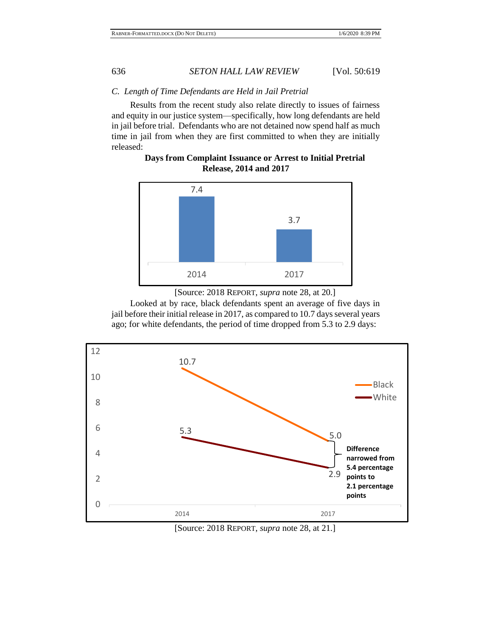## *C. Length of Time Defendants are Held in Jail Pretrial*

Results from the recent study also relate directly to issues of fairness and equity in our justice system—specifically, how long defendants are held in jail before trial. Defendants who are not detained now spend half as much time in jail from when they are first committed to when they are initially released:

**Days from Complaint Issuance or Arrest to Initial Pretrial Release, 2014 and 2017**



<sup>[</sup>Source: 2018 REPORT, *supra* note [28,](#page-5-0) at 20.]

Looked at by race, black defendants spent an average of five days in jail before their initial release in 2017, as compared to 10.7 days several years ago; for white defendants, the period of time dropped from 5.3 to 2.9 days:



[Source: 2018 REPORT, *supra* note [28,](#page-5-0) at 21.]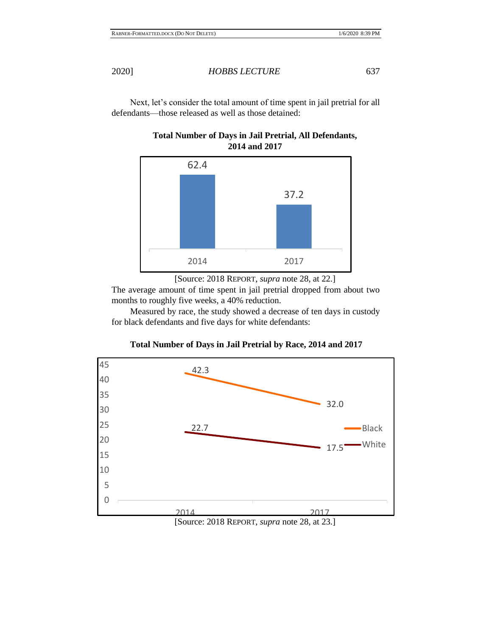Next, let's consider the total amount of time spent in jail pretrial for all defendants—those released as well as those detained:



# **Total Number of Days in Jail Pretrial, All Defendants, 2014 and 2017**

[Source: 2018 REPORT, *supra* note [28,](#page-5-0) at 22.]

The average amount of time spent in jail pretrial dropped from about two months to roughly five weeks, a 40% reduction.

Measured by race, the study showed a decrease of ten days in custody for black defendants and five days for white defendants:



# **Total Number of Days in Jail Pretrial by Race, 2014 and 2017**

[Source: 2018 REPORT, *supra* note [28,](#page-5-0) at 23.]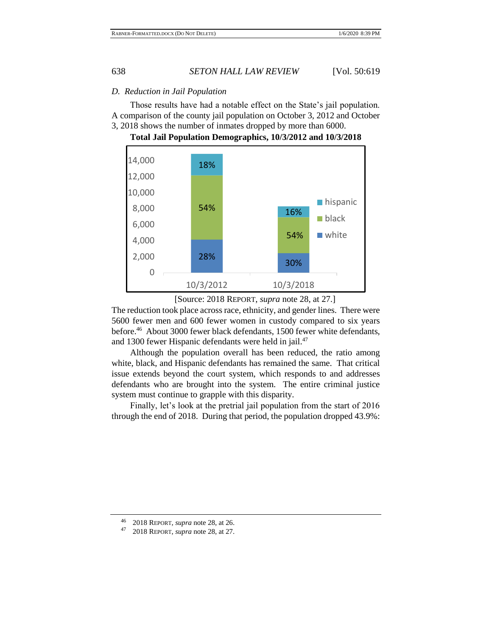## *D. Reduction in Jail Population*

Those results have had a notable effect on the State's jail population. A comparison of the county jail population on October 3, 2012 and October 3, 2018 shows the number of inmates dropped by more than 6000.



**Total Jail Population Demographics, 10/3/2012 and 10/3/2018**

The reduction took place across race, ethnicity, and gender lines. There were 5600 fewer men and 600 fewer women in custody compared to six years before.<sup>46</sup> About 3000 fewer black defendants, 1500 fewer white defendants, and 1300 fewer Hispanic defendants were held in jail.<sup>47</sup>

Although the population overall has been reduced, the ratio among white, black, and Hispanic defendants has remained the same. That critical issue extends beyond the court system, which responds to and addresses defendants who are brought into the system. The entire criminal justice system must continue to grapple with this disparity.

Finally, let's look at the pretrial jail population from the start of 2016 through the end of 2018. During that period, the population dropped 43.9%:

<sup>[</sup>Source: 2018 REPORT, *supra* note [28,](#page-5-0) at 27.]

<sup>46 2018</sup> REPORT, *supra* not[e 28,](#page-5-0) at 26.<br>47 2018 REPORT *supra* note 28 at 27

<sup>47</sup> 2018 REPORT, *supra* not[e 28,](#page-5-0) at 27.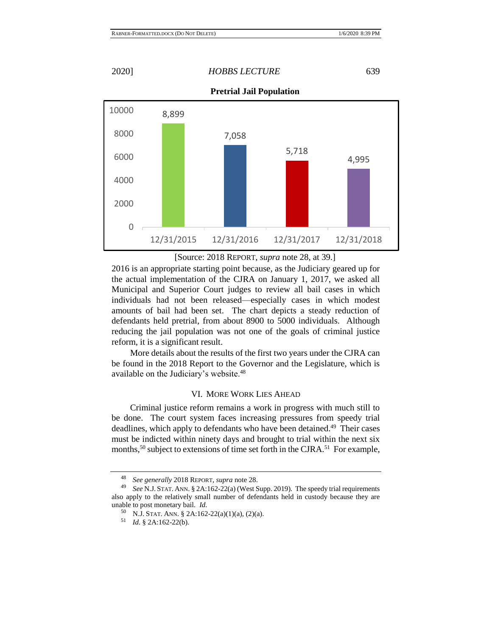**Pretrial Jail Population**



[Source: 2018 REPORT, *supra* note [28,](#page-5-0) at 39.]

2016 is an appropriate starting point because, as the Judiciary geared up for the actual implementation of the CJRA on January 1, 2017, we asked all Municipal and Superior Court judges to review all bail cases in which individuals had not been released—especially cases in which modest amounts of bail had been set. The chart depicts a steady reduction of defendants held pretrial, from about 8900 to 5000 individuals. Although reducing the jail population was not one of the goals of criminal justice reform, it is a significant result.

More details about the results of the first two years under the CJRA can be found in the 2018 Report to the Governor and the Legislature, which is available on the Judiciary's website.<sup>48</sup>

### VI. MORE WORK LIES AHEAD

Criminal justice reform remains a work in progress with much still to be done. The court system faces increasing pressures from speedy trial deadlines, which apply to defendants who have been detained.<sup>49</sup> Their cases must be indicted within ninety days and brought to trial within the next six months,<sup>50</sup> subject to extensions of time set forth in the CJRA.<sup>51</sup> For example,

<sup>48</sup> *See generally* 2018 REPORT, *supra* not[e 28.](#page-5-0)

<sup>49</sup> *See* N.J. STAT. ANN. § 2A:162-22(a) (West Supp. 2019). The speedy trial requirements also apply to the relatively small number of defendants held in custody because they are unable to post monetary bail. *Id.*

<sup>50</sup> N.J. STAT. ANN. § 2A:162-22(a)(1)(a), (2)(a).

<sup>51</sup> *Id.* § 2A:162-22(b).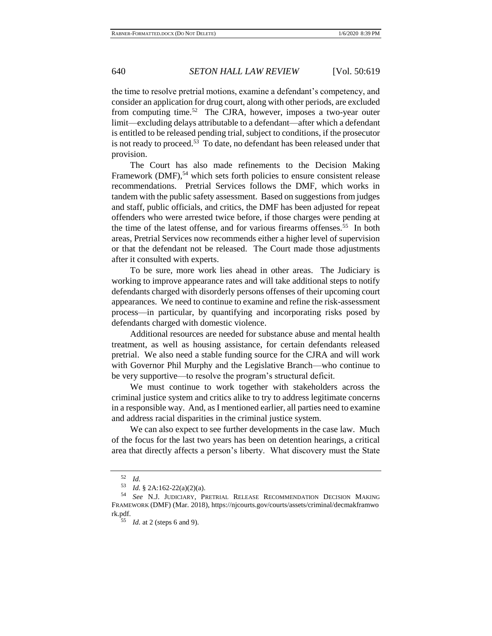the time to resolve pretrial motions, examine a defendant's competency, and consider an application for drug court, along with other periods, are excluded from computing time.<sup>52</sup> The CJRA, however, imposes a two-year outer limit—excluding delays attributable to a defendant—after which a defendant is entitled to be released pending trial, subject to conditions, if the prosecutor is not ready to proceed.<sup>53</sup> To date, no defendant has been released under that provision.

The Court has also made refinements to the Decision Making Framework (DMF), $54$  which sets forth policies to ensure consistent release recommendations. Pretrial Services follows the DMF, which works in tandem with the public safety assessment. Based on suggestions from judges and staff, public officials, and critics, the DMF has been adjusted for repeat offenders who were arrested twice before, if those charges were pending at the time of the latest offense, and for various firearms offenses.<sup>55</sup> In both areas, Pretrial Services now recommends either a higher level of supervision or that the defendant not be released. The Court made those adjustments after it consulted with experts.

To be sure, more work lies ahead in other areas. The Judiciary is working to improve appearance rates and will take additional steps to notify defendants charged with disorderly persons offenses of their upcoming court appearances. We need to continue to examine and refine the risk-assessment process—in particular, by quantifying and incorporating risks posed by defendants charged with domestic violence.

Additional resources are needed for substance abuse and mental health treatment, as well as housing assistance, for certain defendants released pretrial. We also need a stable funding source for the CJRA and will work with Governor Phil Murphy and the Legislative Branch—who continue to be very supportive—to resolve the program's structural deficit.

We must continue to work together with stakeholders across the criminal justice system and critics alike to try to address legitimate concerns in a responsible way. And, as I mentioned earlier, all parties need to examine and address racial disparities in the criminal justice system.

We can also expect to see further developments in the case law. Much of the focus for the last two years has been on detention hearings, a critical area that directly affects a person's liberty. What discovery must the State

 $\frac{52}{53}$  *Id.* 

*Id.* § 2A:162-22(a)(2)(a).

See N.J. JUDICIARY, PRETRIAL RELEASE RECOMMENDATION DECISION MAKING FRAMEWORK (DMF) (Mar. 2018), https://njcourts.gov/courts/assets/criminal/decmakframwo rk.pdf.

<sup>55</sup> *Id.* at 2 (steps 6 and 9).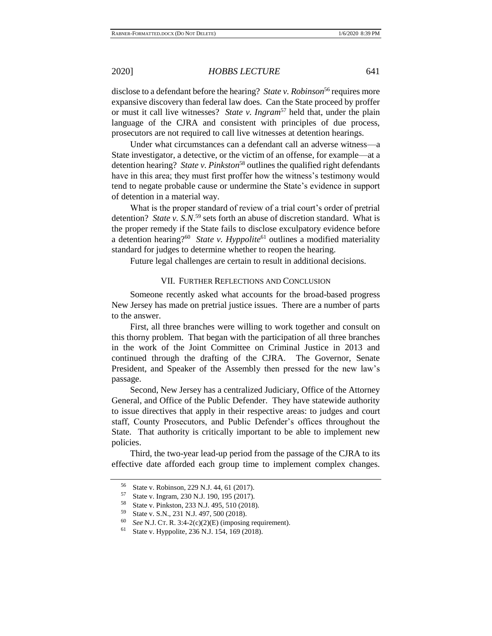disclose to a defendant before the hearing? *State v. Robinson*<sup>56</sup> requires more expansive discovery than federal law does. Can the State proceed by proffer or must it call live witnesses? *State v. Ingram*<sup>57</sup> held that, under the plain language of the CJRA and consistent with principles of due process, prosecutors are not required to call live witnesses at detention hearings.

Under what circumstances can a defendant call an adverse witness—a State investigator, a detective, or the victim of an offense, for example—at a detention hearing? *State v. Pinkston*<sup>58</sup> outlines the qualified right defendants have in this area; they must first proffer how the witness's testimony would tend to negate probable cause or undermine the State's evidence in support of detention in a material way.

What is the proper standard of review of a trial court's order of pretrial detention? *State v. S.N.*<sup>59</sup> sets forth an abuse of discretion standard. What is the proper remedy if the State fails to disclose exculpatory evidence before a detention hearing?<sup>60</sup> State v. Hyppolite<sup>61</sup> outlines a modified materiality standard for judges to determine whether to reopen the hearing.

Future legal challenges are certain to result in additional decisions.

## VII. FURTHER REFLECTIONS AND CONCLUSION

Someone recently asked what accounts for the broad-based progress New Jersey has made on pretrial justice issues. There are a number of parts to the answer.

First, all three branches were willing to work together and consult on this thorny problem. That began with the participation of all three branches in the work of the Joint Committee on Criminal Justice in 2013 and continued through the drafting of the CJRA. The Governor, Senate President, and Speaker of the Assembly then pressed for the new law's passage.

Second, New Jersey has a centralized Judiciary, Office of the Attorney General, and Office of the Public Defender. They have statewide authority to issue directives that apply in their respective areas: to judges and court staff, County Prosecutors, and Public Defender's offices throughout the State. That authority is critically important to be able to implement new policies.

Third, the two-year lead-up period from the passage of the CJRA to its effective date afforded each group time to implement complex changes.

<sup>&</sup>lt;sup>56</sup> State v. Robinson, 229 N.J. 44, 61 (2017).<br><sup>57</sup> State v. Jacques 220 N.J. 100, 105 (2017).

 $^{57}$  State v. Ingram, 230 N.J. 190, 195 (2017).<br> $^{58}$  State v. Binkston, 222 N.J. 405, 510 (2018)

<sup>&</sup>lt;sup>58</sup> State v. Pinkston, 233 N.J. 495, 510 (2018).<br>
<sup>59</sup> State v. S.N. 221 N.J. 497, 500 (2018).

<sup>&</sup>lt;sup>59</sup> State v. S.N., 231 N.J. 497, 500 (2018).<br><sup>60</sup> See N.J. Cr. B. 3:4. 2(a)(2)(E) (imposing

*See* N.J. CT. R. 3:4-2(c)(2)(E) (imposing requirement).

State v. Hyppolite, 236 N.J. 154, 169 (2018).